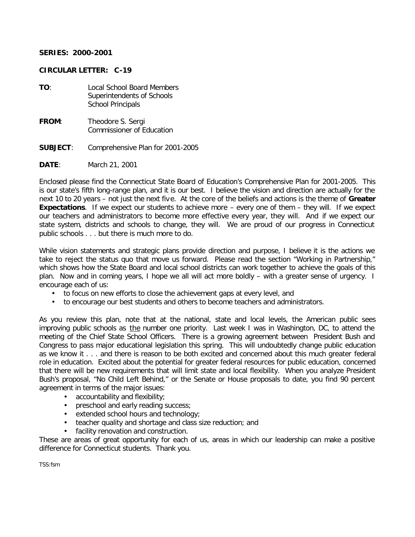## **SERIES: 2000-2001**

## **CIRCULAR LETTER: C-19**

- **TO**: Local School Board Members Superintendents of Schools School Principals
- **FROM**: Theodore S. Sergi Commissioner of Education
- **SUBJECT**: Comprehensive Plan for 2001-2005
- **DATE**: March 21, 2001

Enclosed please find the Connecticut State Board of Education's Comprehensive Plan for 2001-2005. This is our state's fifth long-range plan, and it is our best. I believe the vision and direction are actually for the next 10 to 20 years – not just the next fiv e. At the core of the beliefs and actions is the theme of **Greater Expectations**. If we expect our students to achieve more – every one of them – they will. If we expect our teachers and administrators to become more effective every year, they will. And if we expect our state system, districts and schools to change, they will. We are proud of our progress in Connecticut public schools . . . but there is much more to do.

While vision statements and strategic plans provide direction and purpose, I believe it is the actions we take to reject the status quo that move us forward. Please read the section "Working in Partnership," which shows how the State Board and local school districts can work together to achieve the goals of this plan. Now and in coming years, I hope we all will act more boldly – with a greater sense of urgency. I encourage each of us:

- to focus on new efforts to close the achievement gaps at every level, and
- to encourage our best students and others to become teachers and administrators.

As you review this plan, note that at the national, state and local levels, the American public sees improving public schools as the number one priority. Last week I was in Washington, DC, to attend the meeting of the Chief State School Officers. There is a growing agreement between President Bush and Congress to pass major educational legislation this spring. This will undoubtedly change public education as we know it . . . and there is reason to be both excited and concerned about this much greater federal role in education. Excited about the potential for greater federal resources for public education, concerned that there will be new requirements that will limit state and local flexibility. When you analyze President Bush's proposal, "No Child Left Behind," or the Senate or House proposals to date, you find 90 percent agreement in terms of the major issues:

- accountability and flexibility;
- preschool and early reading success;
- extended school hours and technology;
- teacher quality and shortage and class size reduction; and
- facility renovation and construction.

These are areas of great opportunity for each of us, areas in which our leadership can make a positive difference for Connecticut students. Thank you.

TSS:fsm